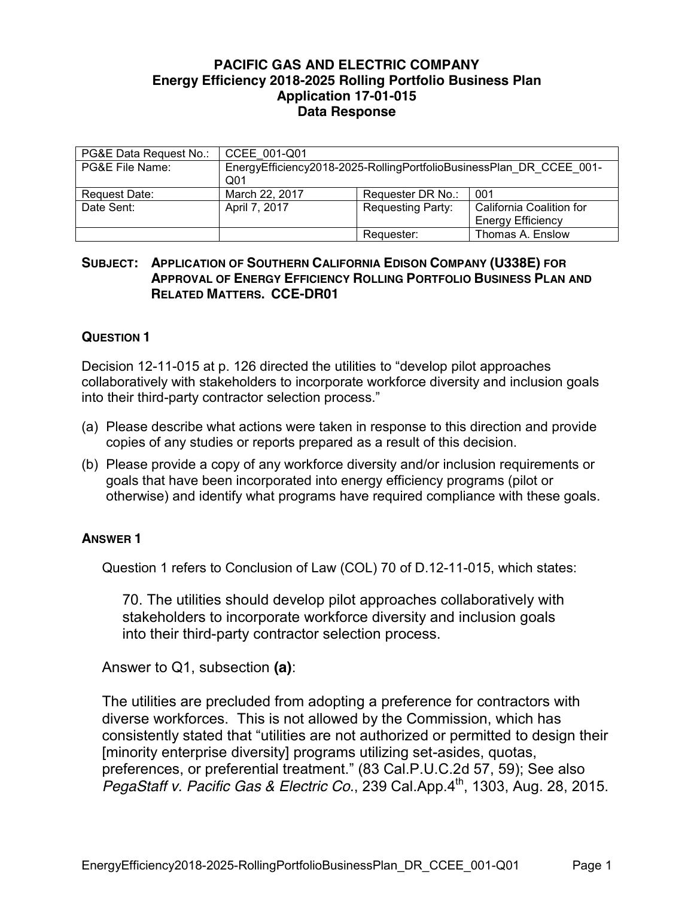## **PACIFIC GAS AND ELECTRIC COMPANY Energy Efficiency 2018-2025 Rolling Portfolio Business Plan Application 17-01-015 Data Response**

| PG&E Data Request No.: | CCEE 001-Q01                                                                           |                          |                          |
|------------------------|----------------------------------------------------------------------------------------|--------------------------|--------------------------|
| PG&E File Name:        | EnergyEfficiency2018-2025-RollingPortfolioBusinessPlan DR CCEE 001-<br>Q <sub>01</sub> |                          |                          |
| Request Date:          | March 22, 2017                                                                         | Requester DR No.:        | 001                      |
| Date Sent:             | April 7, 2017                                                                          | <b>Requesting Party:</b> | California Coalition for |
|                        |                                                                                        |                          | <b>Energy Efficiency</b> |
|                        |                                                                                        | Requester:               | Thomas A. Enslow         |

## **SUBJECT: APPLICATION OF SOUTHERN CALIFORNIA EDISON COMPANY (U338E) FOR APPROVAL OF ENERGY EFFICIENCY ROLLING PORTFOLIO BUSINESS PLAN AND RELATED MATTERS. CCE-DR01**

## **QUESTION 1**

Decision 12-11-015 at p. 126 directed the utilities to "develop pilot approaches collaboratively with stakeholders to incorporate workforce diversity and inclusion goals into their third-party contractor selection process."

- (a) Please describe what actions were taken in response to this direction and provide copies of any studies or reports prepared as a result of this decision.
- (b) Please provide a copy of any workforce diversity and/or inclusion requirements or goals that have been incorporated into energy efficiency programs (pilot or otherwise) and identify what programs have required compliance with these goals.

## **ANSWER 1**

Question 1 refers to Conclusion of Law (COL) 70 of D.12-11-015, which states:

70. The utilities should develop pilot approaches collaboratively with stakeholders to incorporate workforce diversity and inclusion goals into their third-party contractor selection process.

Answer to Q1, subsection **(a)**:

The utilities are precluded from adopting a preference for contractors with diverse workforces. This is not allowed by the Commission, which has consistently stated that "utilities are not authorized or permitted to design their [minority enterprise diversity] programs utilizing set-asides, quotas, preferences, or preferential treatment." (83 Cal.P.U.C.2d 57, 59); See also *PegaStaff v. Pacific Gas & Electric Co.*, 239 Cal.App.4<sup>th</sup>, 1303, Aug. 28, 2015.